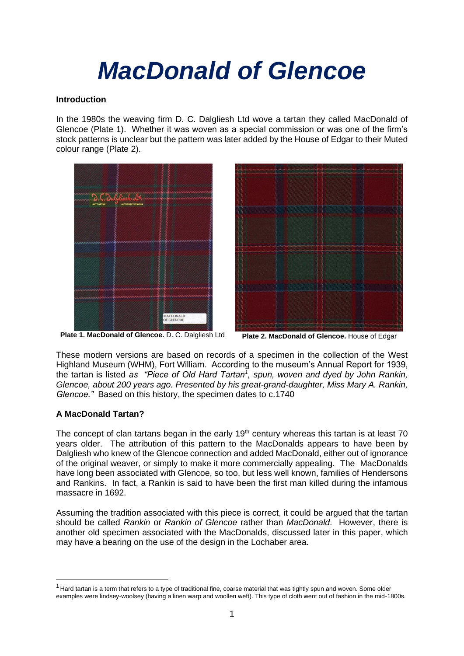# *MacDonald of Glencoe*

# **Introduction**

In the 1980s the weaving firm D. C. Dalgliesh Ltd wove a tartan they called MacDonald of Glencoe (Plate 1). Whether it was woven as a special commission or was one of the firm's stock patterns is unclear but the pattern was later added by the House of Edgar to their Muted colour range (Plate 2).





**Plate 1. MacDonald of Glencoe.** D. C. Dalgliesh Ltd **Plate 2. MacDonald of Glencoe.** House of Edgar

These modern versions are based on records of a specimen in the collection of the West Highland Museum (WHM), Fort William. According to the museum's Annual Report for 1939, the tartan is listed *as "Piece of Old Hard Tartan<sup>1</sup> , spun, woven and dyed by John Rankin, Glencoe, about 200 years ago. Presented by his great-grand-daughter, Miss Mary A. Rankin, Glencoe."* Based on this history, the specimen dates to c.1740

# **A MacDonald Tartan?**

The concept of clan tartans began in the early  $19<sup>th</sup>$  century whereas this tartan is at least 70 years older. The attribution of this pattern to the MacDonalds appears to have been by Dalgliesh who knew of the Glencoe connection and added MacDonald, either out of ignorance of the original weaver, or simply to make it more commercially appealing. The MacDonalds have long been associated with Glencoe, so too, but less well known, families of Hendersons and Rankins. In fact, a Rankin is said to have been the first man killed during the infamous massacre in 1692.

Assuming the tradition associated with this piece is correct, it could be argued that the tartan should be called *Rankin* or *Rankin of Glencoe* rather than *MacDonald*. However, there is another old specimen associated with the MacDonalds, discussed later in this paper, which may have a bearing on the use of the design in the Lochaber area.

 $1$  Hard tartan is a term that refers to a type of traditional fine, coarse material that was tightly spun and woven. Some older examples were lindsey-woolsey (having a linen warp and woollen weft). This type of cloth went out of fashion in the mid-1800s.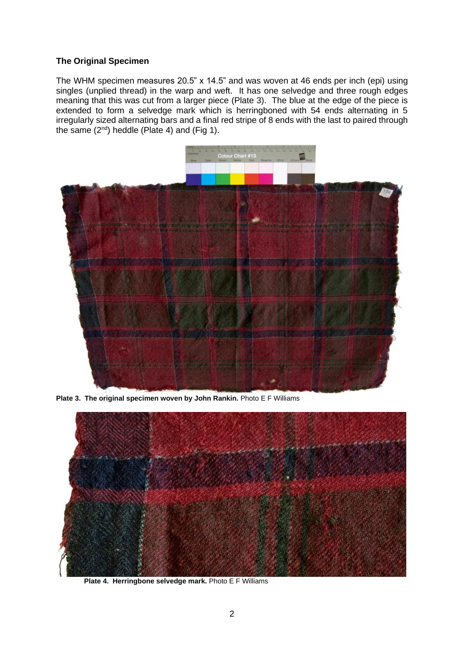#### **The Original Specimen**

The WHM specimen measures 20.5" x 14.5" and was woven at 46 ends per inch (epi) using singles (unplied thread) in the warp and weft. It has one selvedge and three rough edges meaning that this was cut from a larger piece (Plate 3). The blue at the edge of the piece is extended to form a selvedge mark which is herringboned with 54 ends alternating in 5 irregularly sized alternating bars and a final red stripe of 8 ends with the last to paired through the same  $(2^{nd})$  heddle (Plate 4) and (Fig 1).



**Plate 3. The original specimen woven by John Rankin.** Photo E F Williams



**Plate 4. Herringbone selvedge mark.** Photo E F Williams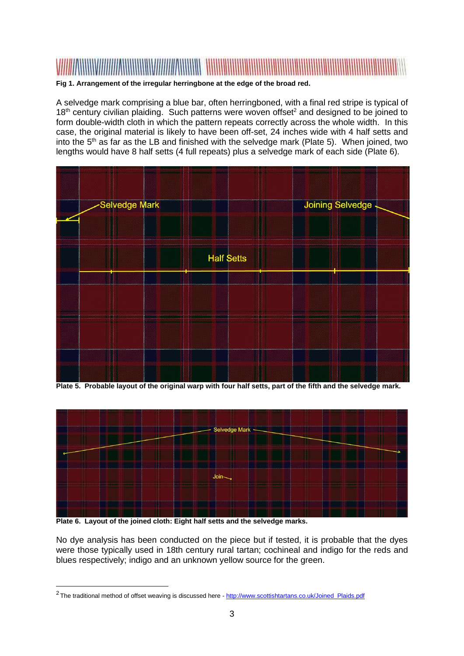

# **Fig 1. Arrangement of the irregular herringbone at the edge of the broad red.**

A selvedge mark comprising a blue bar, often herringboned, with a final red stripe is typical of  $18<sup>th</sup>$  century civilian plaiding. Such patterns were woven offset<sup>2</sup> and designed to be joined to form double-width cloth in which the pattern repeats correctly across the whole width. In this case, the original material is likely to have been off-set, 24 inches wide with 4 half setts and into the  $5<sup>th</sup>$  as far as the LB and finished with the selvedge mark (Plate 5). When joined, two lengths would have 8 half setts (4 full repeats) plus a selvedge mark of each side (Plate 6).



**Plate 5. Probable layout of the original warp with four half setts, part of the fifth and the selvedge mark.**



**Plate 6. Layout of the joined cloth: Eight half setts and the selvedge marks.**

No dye analysis has been conducted on the piece but if tested, it is probable that the dyes were those typically used in 18th century rural tartan; cochineal and indigo for the reds and blues respectively; indigo and an unknown yellow source for the green.

<sup>&</sup>lt;sup>2</sup> The traditional method of offset weaving is discussed here - [http://www.scottishtartans.co.uk/Joined\\_Plaids.pdf](http://www.scottishtartans.co.uk/Joined_Plaids.pdf)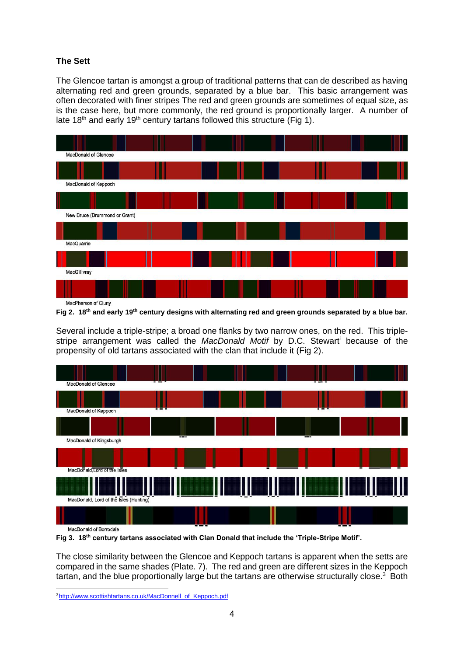# **The Sett**

The Glencoe tartan is amongst a group of traditional patterns that can de described as having alternating red and green grounds, separated by a blue bar. This basic arrangement was often decorated with finer stripes The red and green grounds are sometimes of equal size, as is the case here, but more commonly, the red ground is proportionally larger. A number of late 18<sup>th</sup> and early 19<sup>th</sup> century tartans followed this structure (Fig 1).



**Fig 2. 18th and early 19th century designs with alternating red and green grounds separated by a blue bar.**

Several include a triple-stripe; a broad one flanks by two narrow ones, on the red. This triplestripe arrangement was called the *MacDonald Motif* by D.C. Stewart<sup>i</sup> because of the propensity of old tartans associated with the clan that include it (Fig 2).



**Fig 3. 18th century tartans associated with Clan Donald that include the 'Triple-Stripe Motif'.**

The close similarity between the Glencoe and Keppoch tartans is apparent when the setts are compared in the same shades (Plate. 7). The red and green are different sizes in the Keppoch tartan, and the blue proportionally large but the tartans are otherwise structurally close.<sup>3</sup> Both

<sup>3</sup> [http://www.scottishtartans.co.uk/MacDonnell\\_of\\_Keppoch.pdf](http://www.scottishtartans.co.uk/MacDonnell_of_Keppoch.pdf)